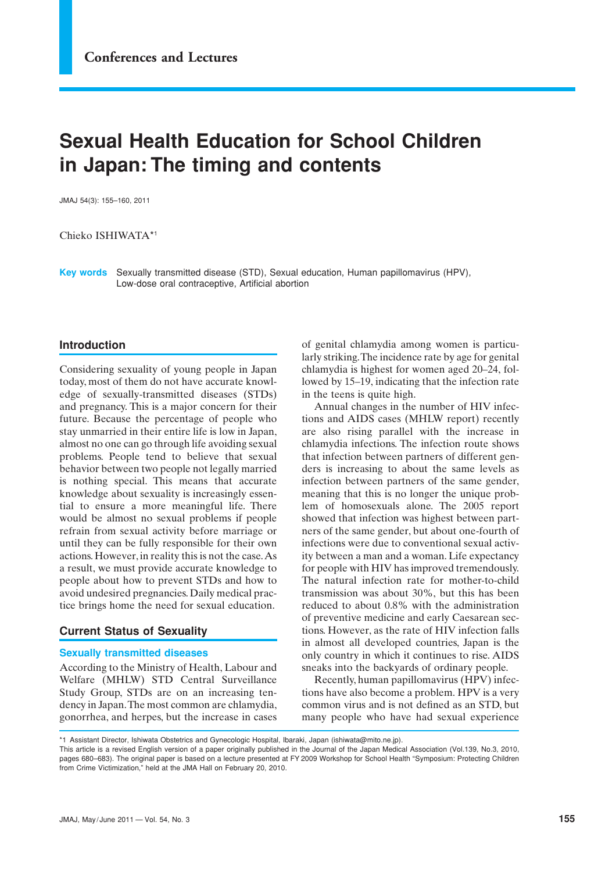# **Sexual Health Education for School Children in Japan: The timing and contents**

JMAJ 54(3): 155–160, 2011

Chieko ISHIWATA\*1

**Key words** Sexually transmitted disease (STD), Sexual education, Human papillomavirus (HPV), Low-dose oral contraceptive, Artificial abortion

## **Introduction**

Considering sexuality of young people in Japan today, most of them do not have accurate knowledge of sexually-transmitted diseases (STDs) and pregnancy. This is a major concern for their future. Because the percentage of people who stay unmarried in their entire life is low in Japan, almost no one can go through life avoiding sexual problems. People tend to believe that sexual behavior between two people not legally married is nothing special. This means that accurate knowledge about sexuality is increasingly essential to ensure a more meaningful life. There would be almost no sexual problems if people refrain from sexual activity before marriage or until they can be fully responsible for their own actions. However, in reality this is not the case. As a result, we must provide accurate knowledge to people about how to prevent STDs and how to avoid undesired pregnancies. Daily medical practice brings home the need for sexual education.

### **Current Status of Sexuality**

### **Sexually transmitted diseases**

According to the Ministry of Health, Labour and Welfare (MHLW) STD Central Surveillance Study Group, STDs are on an increasing tendency in Japan. The most common are chlamydia, gonorrhea, and herpes, but the increase in cases

of genital chlamydia among women is particularly striking. The incidence rate by age for genital chlamydia is highest for women aged 20–24, followed by 15–19, indicating that the infection rate in the teens is quite high.

Annual changes in the number of HIV infections and AIDS cases (MHLW report) recently are also rising parallel with the increase in chlamydia infections. The infection route shows that infection between partners of different genders is increasing to about the same levels as infection between partners of the same gender, meaning that this is no longer the unique problem of homosexuals alone. The 2005 report showed that infection was highest between partners of the same gender, but about one-fourth of infections were due to conventional sexual activity between a man and a woman. Life expectancy for people with HIV has improved tremendously. The natural infection rate for mother-to-child transmission was about 30%, but this has been reduced to about 0.8% with the administration of preventive medicine and early Caesarean sections. However, as the rate of HIV infection falls in almost all developed countries, Japan is the only country in which it continues to rise. AIDS sneaks into the backyards of ordinary people.

Recently, human papillomavirus (HPV) infections have also become a problem. HPV is a very common virus and is not defined as an STD, but many people who have had sexual experience

This article is a revised English version of a paper originally published in the Journal of the Japan Medical Association (Vol.139, No.3, 2010, pages 680–683). The original paper is based on a lecture presented at FY 2009 Workshop for School Health "Symposium: Protecting Children from Crime Victimization," held at the JMA Hall on February 20, 2010.

<sup>\*1</sup> Assistant Director, Ishiwata Obstetrics and Gynecologic Hospital, Ibaraki, Japan (ishiwata@mito.ne.jp).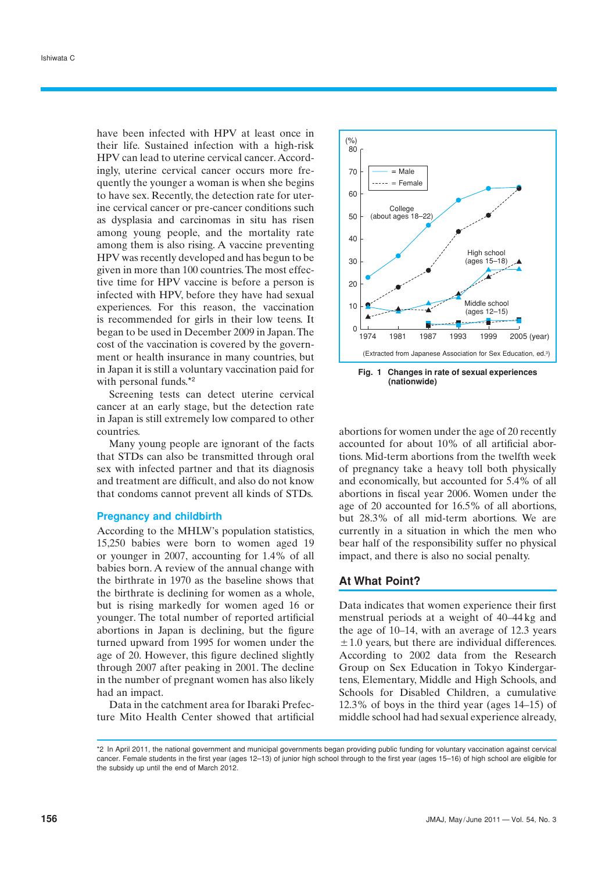have been infected with HPV at least once in their life. Sustained infection with a high-risk HPV can lead to uterine cervical cancer. Accordingly, uterine cervical cancer occurs more frequently the younger a woman is when she begins to have sex. Recently, the detection rate for uterine cervical cancer or pre-cancer conditions such as dysplasia and carcinomas in situ has risen among young people, and the mortality rate among them is also rising. A vaccine preventing HPV was recently developed and has begun to be given in more than 100 countries. The most effective time for HPV vaccine is before a person is infected with HPV, before they have had sexual experiences. For this reason, the vaccination is recommended for girls in their low teens. It began to be used in December 2009 in Japan. The cost of the vaccination is covered by the government or health insurance in many countries, but in Japan it is still a voluntary vaccination paid for with personal funds.<sup>\*2</sup>

Screening tests can detect uterine cervical cancer at an early stage, but the detection rate in Japan is still extremely low compared to other countries.

Many young people are ignorant of the facts that STDs can also be transmitted through oral sex with infected partner and that its diagnosis and treatment are difficult, and also do not know that condoms cannot prevent all kinds of STDs.

#### **Pregnancy and childbirth**

According to the MHLW's population statistics, 15,250 babies were born to women aged 19 or younger in 2007, accounting for 1.4% of all babies born. A review of the annual change with the birthrate in 1970 as the baseline shows that the birthrate is declining for women as a whole, but is rising markedly for women aged 16 or younger. The total number of reported artificial abortions in Japan is declining, but the figure turned upward from 1995 for women under the age of 20. However, this figure declined slightly through 2007 after peaking in 2001. The decline in the number of pregnant women has also likely had an impact.

Data in the catchment area for Ibaraki Prefecture Mito Health Center showed that artificial



**(nationwide)**

abortions for women under the age of 20 recently accounted for about 10% of all artificial abortions. Mid-term abortions from the twelfth week of pregnancy take a heavy toll both physically and economically, but accounted for 5.4% of all abortions in fiscal year 2006. Women under the age of 20 accounted for 16.5% of all abortions, but 28.3% of all mid-term abortions. We are currently in a situation in which the men who bear half of the responsibility suffer no physical impact, and there is also no social penalty.

#### **At What Point?**

Data indicates that women experience their first menstrual periods at a weight of 40–44 kg and the age of 10–14, with an average of 12.3 years  $\pm$  1.0 years, but there are individual differences. According to 2002 data from the Research Group on Sex Education in Tokyo Kindergartens, Elementary, Middle and High Schools, and Schools for Disabled Children, a cumulative 12.3% of boys in the third year (ages 14–15) of middle school had had sexual experience already,

<sup>\*2</sup> In April 2011, the national government and municipal governments began providing public funding for voluntary vaccination against cervical cancer. Female students in the first year (ages 12–13) of junior high school through to the first year (ages 15–16) of high school are eligible for the subsidy up until the end of March 2012.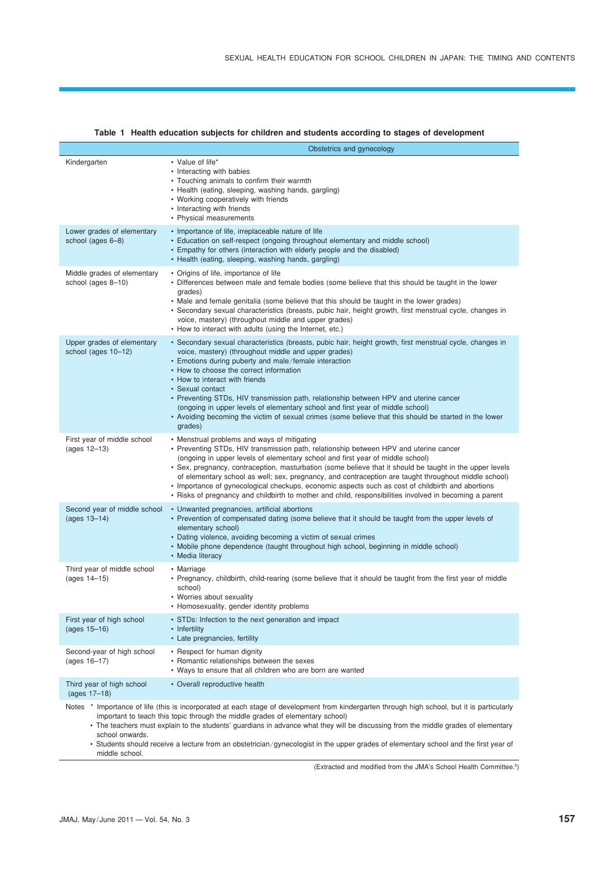|                                                                                                                                                                                                                                                                                                                                                                                                                                                                                                                                                  | Obstetrics and gynecology                                                                                                                                                                                                                                                                                                                                                                                                                                                                                                                                                                                                                                  |  |  |  |
|--------------------------------------------------------------------------------------------------------------------------------------------------------------------------------------------------------------------------------------------------------------------------------------------------------------------------------------------------------------------------------------------------------------------------------------------------------------------------------------------------------------------------------------------------|------------------------------------------------------------------------------------------------------------------------------------------------------------------------------------------------------------------------------------------------------------------------------------------------------------------------------------------------------------------------------------------------------------------------------------------------------------------------------------------------------------------------------------------------------------------------------------------------------------------------------------------------------------|--|--|--|
| Kindergarten                                                                                                                                                                                                                                                                                                                                                                                                                                                                                                                                     | • Value of life*<br>• Interacting with babies<br>• Touching animals to confirm their warmth<br>• Health (eating, sleeping, washing hands, gargling)<br>• Working cooperatively with friends<br>• Interacting with friends<br>• Physical measurements                                                                                                                                                                                                                                                                                                                                                                                                       |  |  |  |
| Lower grades of elementary<br>school (ages 6–8)                                                                                                                                                                                                                                                                                                                                                                                                                                                                                                  | • Importance of life, irreplaceable nature of life<br>• Education on self-respect (ongoing throughout elementary and middle school)<br>• Empathy for others (interaction with elderly people and the disabled)<br>• Health (eating, sleeping, washing hands, gargling)                                                                                                                                                                                                                                                                                                                                                                                     |  |  |  |
| Middle grades of elementary<br>school (ages 8-10)                                                                                                                                                                                                                                                                                                                                                                                                                                                                                                | • Origins of life, importance of life<br>• Differences between male and female bodies (some believe that this should be taught in the lower<br>grades)<br>• Male and female genitalia (some believe that this should be taught in the lower grades)<br>• Secondary sexual characteristics (breasts, pubic hair, height growth, first menstrual cycle, changes in<br>voice, mastery) (throughout middle and upper grades)<br>• How to interact with adults (using the Internet, etc.)                                                                                                                                                                       |  |  |  |
| Upper grades of elementary<br>school (ages 10-12)                                                                                                                                                                                                                                                                                                                                                                                                                                                                                                | • Secondary sexual characteristics (breasts, pubic hair, height growth, first menstrual cycle, changes in<br>voice, mastery) (throughout middle and upper grades)<br>• Emotions during puberty and male/female interaction<br>• How to choose the correct information<br>• How to interact with friends<br>• Sexual contact<br>• Preventing STDs, HIV transmission path, relationship between HPV and uterine cancer<br>(ongoing in upper levels of elementary school and first year of middle school)<br>. Avoiding becoming the victim of sexual crimes (some believe that this should be started in the lower<br>grades)                                |  |  |  |
| First year of middle school<br>(ages 12–13)                                                                                                                                                                                                                                                                                                                                                                                                                                                                                                      | • Menstrual problems and ways of mitigating<br>• Preventing STDs, HIV transmission path, relationship between HPV and uterine cancer<br>(ongoing in upper levels of elementary school and first year of middle school)<br>• Sex, pregnancy, contraception, masturbation (some believe that it should be taught in the upper levels<br>of elementary school as well; sex, pregnancy, and contraception are taught throughout middle school)<br>• Importance of gynecological checkups, economic aspects such as cost of childbirth and abortions<br>• Risks of pregnancy and childbirth to mother and child, responsibilities involved in becoming a parent |  |  |  |
| Second year of middle school<br>(ages 13-14)                                                                                                                                                                                                                                                                                                                                                                                                                                                                                                     | • Unwanted pregnancies, artificial abortions<br>• Prevention of compensated dating (some believe that it should be taught from the upper levels of<br>elementary school)<br>• Dating violence, avoiding becoming a victim of sexual crimes<br>• Mobile phone dependence (taught throughout high school, beginning in middle school)<br>• Media literacy                                                                                                                                                                                                                                                                                                    |  |  |  |
| Third year of middle school<br>(ages 14-15)                                                                                                                                                                                                                                                                                                                                                                                                                                                                                                      | • Marriage<br>• Pregnancy, childbirth, child-rearing (some believe that it should be taught from the first year of middle<br>school)<br>• Worries about sexuality<br>• Homosexuality, gender identity problems                                                                                                                                                                                                                                                                                                                                                                                                                                             |  |  |  |
| First year of high school<br>(ages $15 - 16$ )                                                                                                                                                                                                                                                                                                                                                                                                                                                                                                   | • STDs: Infection to the next generation and impact<br>• Infertility<br>• Late pregnancies, fertility                                                                                                                                                                                                                                                                                                                                                                                                                                                                                                                                                      |  |  |  |
| Second-year of high school<br>(ages 16-17)                                                                                                                                                                                                                                                                                                                                                                                                                                                                                                       | • Respect for human dignity<br>• Romantic relationships between the sexes<br>• Ways to ensure that all children who are born are wanted                                                                                                                                                                                                                                                                                                                                                                                                                                                                                                                    |  |  |  |
| Third year of high school<br>(ages $17-18$ )                                                                                                                                                                                                                                                                                                                                                                                                                                                                                                     | • Overall reproductive health                                                                                                                                                                                                                                                                                                                                                                                                                                                                                                                                                                                                                              |  |  |  |
| Notes * Importance of life (this is incorporated at each stage of development from kindergarten through high school, but it is particularly<br>important to teach this topic through the middle grades of elementary school)<br>• The teachers must explain to the students' quardians in advance what they will be discussing from the middle grades of elementary<br>school onwards.<br>• Students should receive a lecture from an obstetrician/gynecologist in the upper grades of elementary school and the first year of<br>middle school. |                                                                                                                                                                                                                                                                                                                                                                                                                                                                                                                                                                                                                                                            |  |  |  |

## **Table 1 Health education subjects for children and students according to stages of development**

(Extracted and modified from the JMA's School Health Committee.5)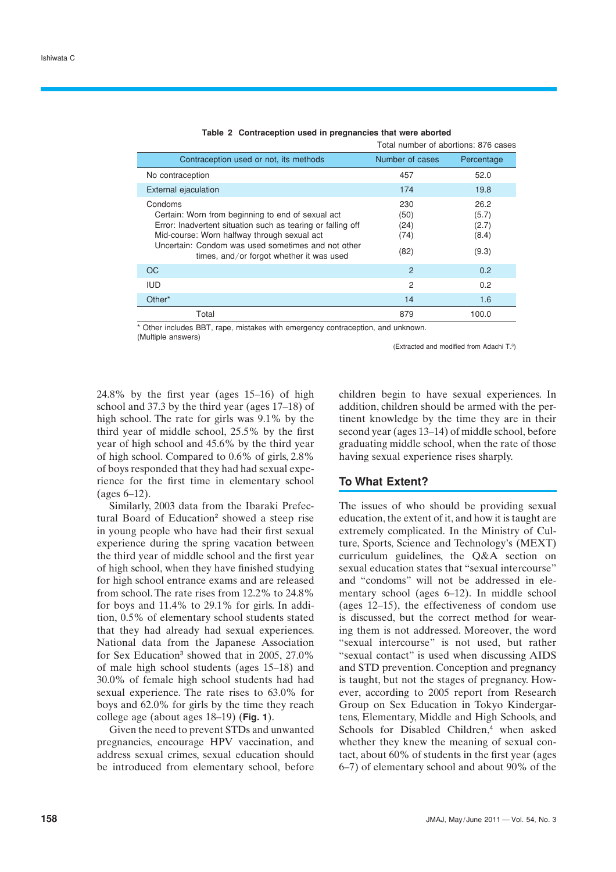|                                                                                                                                                                                                                                                                              | Total number of abortions: 876 cases |                                          |  |
|------------------------------------------------------------------------------------------------------------------------------------------------------------------------------------------------------------------------------------------------------------------------------|--------------------------------------|------------------------------------------|--|
| Contraception used or not, its methods                                                                                                                                                                                                                                       | Number of cases                      | Percentage                               |  |
| No contraception                                                                                                                                                                                                                                                             | 457                                  | 52.0                                     |  |
| External ejaculation                                                                                                                                                                                                                                                         | 174                                  | 19.8                                     |  |
| Condoms<br>Certain: Worn from beginning to end of sexual act<br>Error: Inadvertent situation such as tearing or falling off<br>Mid-course: Worn halfway through sexual act<br>Uncertain: Condom was used sometimes and not other<br>times, and/or forgot whether it was used | 230<br>(50)<br>(24)<br>(74)<br>(82)  | 26.2<br>(5.7)<br>(2.7)<br>(8.4)<br>(9.3) |  |
| OC                                                                                                                                                                                                                                                                           | 2                                    | 0.2                                      |  |
| <b>IUD</b>                                                                                                                                                                                                                                                                   | 2                                    | 0.2                                      |  |
| Other*                                                                                                                                                                                                                                                                       | 14                                   | 1.6                                      |  |
| Total                                                                                                                                                                                                                                                                        | 879                                  | 100.0                                    |  |

|  | Table 2 Contraception used in pregnancies that were aborted |  |  |  |  |
|--|-------------------------------------------------------------|--|--|--|--|
|--|-------------------------------------------------------------|--|--|--|--|

\* Other includes BBT, rape, mistakes with emergency contraception, and unknown. (Multiple answers)

(Extracted and modified from Adachi T.<sup>6</sup>)

24.8% by the first year (ages 15–16) of high school and 37.3 by the third year (ages 17–18) of high school. The rate for girls was 9.1% by the third year of middle school, 25.5% by the first year of high school and 45.6% by the third year of high school. Compared to 0.6% of girls, 2.8% of boys responded that they had had sexual experience for the first time in elementary school (ages 6–12).

Similarly, 2003 data from the Ibaraki Prefectural Board of Education<sup>2</sup> showed a steep rise in young people who have had their first sexual experience during the spring vacation between the third year of middle school and the first year of high school, when they have finished studying for high school entrance exams and are released from school. The rate rises from 12.2% to 24.8% for boys and 11.4% to 29.1% for girls. In addition, 0.5% of elementary school students stated that they had already had sexual experiences. National data from the Japanese Association for Sex Education<sup>3</sup> showed that in 2005, 27.0% of male high school students (ages 15–18) and 30.0% of female high school students had had sexual experience. The rate rises to 63.0% for boys and 62.0% for girls by the time they reach college age (about ages 18–19) (**Fig. 1**).

Given the need to prevent STDs and unwanted pregnancies, encourage HPV vaccination, and address sexual crimes, sexual education should be introduced from elementary school, before children begin to have sexual experiences. In addition, children should be armed with the pertinent knowledge by the time they are in their second year (ages 13–14) of middle school, before graduating middle school, when the rate of those having sexual experience rises sharply.

## **To What Extent?**

The issues of who should be providing sexual education, the extent of it, and how it is taught are extremely complicated. In the Ministry of Culture, Sports, Science and Technology's (MEXT) curriculum guidelines, the Q&A section on sexual education states that "sexual intercourse" and "condoms" will not be addressed in elementary school (ages 6–12). In middle school (ages 12–15), the effectiveness of condom use is discussed, but the correct method for wearing them is not addressed. Moreover, the word "sexual intercourse" is not used, but rather "sexual contact" is used when discussing AIDS and STD prevention. Conception and pregnancy is taught, but not the stages of pregnancy. However, according to 2005 report from Research Group on Sex Education in Tokyo Kindergartens, Elementary, Middle and High Schools, and Schools for Disabled Children,<sup>4</sup> when asked whether they knew the meaning of sexual contact, about 60% of students in the first year (ages 6–7) of elementary school and about 90% of the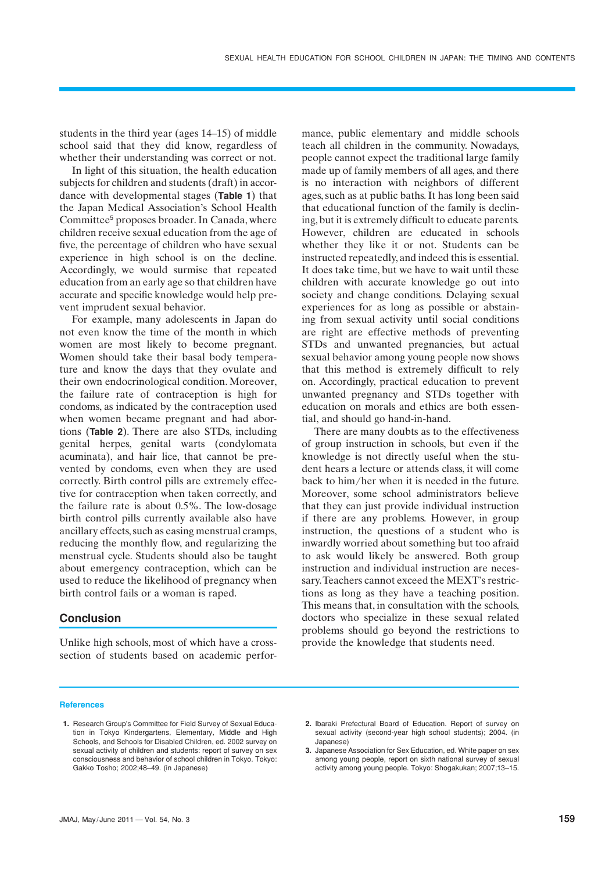students in the third year (ages 14–15) of middle school said that they did know, regardless of whether their understanding was correct or not.

In light of this situation, the health education subjects for children and students (draft) in accordance with developmental stages (**Table 1**) that the Japan Medical Association's School Health Committee<sup>5</sup> proposes broader. In Canada, where children receive sexual education from the age of five, the percentage of children who have sexual experience in high school is on the decline. Accordingly, we would surmise that repeated education from an early age so that children have accurate and specific knowledge would help prevent imprudent sexual behavior.

For example, many adolescents in Japan do not even know the time of the month in which women are most likely to become pregnant. Women should take their basal body temperature and know the days that they ovulate and their own endocrinological condition. Moreover, the failure rate of contraception is high for condoms, as indicated by the contraception used when women became pregnant and had abortions (**Table 2**). There are also STDs, including genital herpes, genital warts (condylomata acuminata), and hair lice, that cannot be prevented by condoms, even when they are used correctly. Birth control pills are extremely effective for contraception when taken correctly, and the failure rate is about 0.5%. The low-dosage birth control pills currently available also have ancillary effects, such as easing menstrual cramps, reducing the monthly flow, and regularizing the menstrual cycle. Students should also be taught about emergency contraception, which can be used to reduce the likelihood of pregnancy when birth control fails or a woman is raped.

## **Conclusion**

Unlike high schools, most of which have a crosssection of students based on academic performance, public elementary and middle schools teach all children in the community. Nowadays, people cannot expect the traditional large family made up of family members of all ages, and there is no interaction with neighbors of different ages, such as at public baths. It has long been said that educational function of the family is declining, but it is extremely difficult to educate parents. However, children are educated in schools whether they like it or not. Students can be instructed repeatedly, and indeed this is essential. It does take time, but we have to wait until these children with accurate knowledge go out into society and change conditions. Delaying sexual experiences for as long as possible or abstaining from sexual activity until social conditions are right are effective methods of preventing STDs and unwanted pregnancies, but actual sexual behavior among young people now shows that this method is extremely difficult to rely on. Accordingly, practical education to prevent unwanted pregnancy and STDs together with education on morals and ethics are both essential, and should go hand-in-hand.

There are many doubts as to the effectiveness of group instruction in schools, but even if the knowledge is not directly useful when the student hears a lecture or attends class, it will come back to him/her when it is needed in the future. Moreover, some school administrators believe that they can just provide individual instruction if there are any problems. However, in group instruction, the questions of a student who is inwardly worried about something but too afraid to ask would likely be answered. Both group instruction and individual instruction are necessary. Teachers cannot exceed the MEXT's restrictions as long as they have a teaching position. This means that, in consultation with the schools, doctors who specialize in these sexual related problems should go beyond the restrictions to provide the knowledge that students need.

#### **References**

**3.** Japanese Association for Sex Education, ed. White paper on sex among young people, report on sixth national survey of sexual activity among young people. Tokyo: Shogakukan; 2007;13–15.

**<sup>1.</sup>** Research Group's Committee for Field Survey of Sexual Education in Tokyo Kindergartens, Elementary, Middle and High Schools, and Schools for Disabled Children, ed. 2002 survey on sexual activity of children and students: report of survey on sex consciousness and behavior of school children in Tokyo. Tokyo: Gakko Tosho; 2002;48–49. (in Japanese)

**<sup>2.</sup>** Ibaraki Prefectural Board of Education. Report of survey on sexual activity (second-year high school students); 2004. (in Japanese)